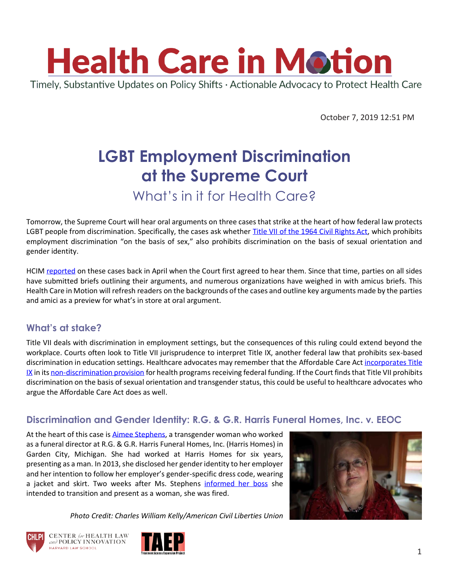

October 7, 2019 12:51 PM

# **LGBT Employment Discrimination at the Supreme Court**

### What's in it for Health Care?

Tomorrow, the Supreme Court will hear oral arguments on three cases that strike at the heart of how federal law protects LGBT people from discrimination. Specifically, the cases ask whether [Title VII of the 1964 Civil Rights Act,](https://www.eeoc.gov/laws/statutes/titlevii.cfm) which prohibits employment discrimination "on the basis of sex," also prohibits discrimination on the basis of sexual orientation and gender identity.

HCIM [reported](https://www.chlpi.org/wp-content/uploads/2013/12/HCIM_04_23_2019.pdf) on these cases back in April when the Court first agreed to hear them. Since that time, parties on all sides have submitted briefs outlining their arguments, and numerous organizations have weighed in with amicus briefs. This Health Care in Motion will refresh readers on the backgrounds of the cases and outline key arguments made by the parties and amici as a preview for what's in store at oral argument.

#### **What's at stake?**

Title VII deals with discrimination in employment settings, but the consequences of this ruling could extend beyond the workplace. Courts often look to Title VII jurisprudence to interpret Title IX, another federal law that prohibits sex-based discrimination in education settings. Healthcare advocates may remember that the Affordable Care Ac[t incorporates Title](https://www.chlpi.org/wp-content/uploads/2013/12/HCIM_6_20_2019.pdf)  [IX](https://www.chlpi.org/wp-content/uploads/2013/12/HCIM_6_20_2019.pdf) in it[s non-discrimination provision](https://www.law.cornell.edu/uscode/text/42/18116) for health programs receiving federal funding. If the Court finds that Title VII prohibits discrimination on the basis of sexual orientation and transgender status, this could be useful to healthcare advocates who argue the Affordable Care Act does as well.

#### **Discrimination and Gender Identity: R.G. & G.R. Harris Funeral Homes, Inc. v. EEOC**

At the heart of this case is [Aimee Stephens,](https://www.aclu.org/bio/aimee-stephens) a transgender woman who worked as a funeral director at R.G. & G.R. Harris Funeral Homes, Inc. (Harris Homes) in Garden City, Michigan. She had worked at Harris Homes for six years, presenting as a man. In 2013, she disclosed her gender identity to her employer and her intention to follow her employer's gender-specific dress code, wearing a jacket and skirt. Two weeks after Ms. Stephens [informed her boss](https://twitter.com/ACLU/status/1178443173514878981) she intended to transition and present as a woman, she was fired.

*Photo Credit: Charles William Kelly/American Civil Liberties Union*







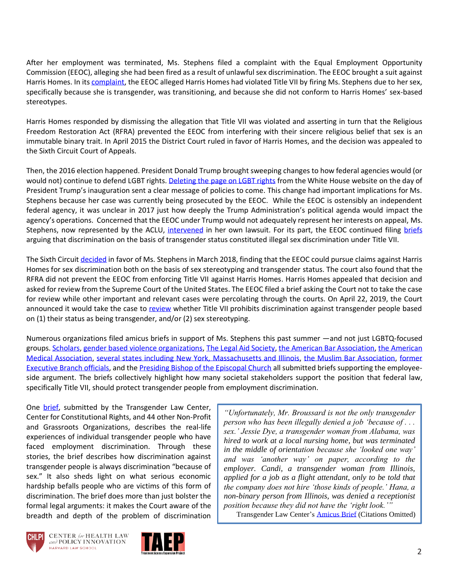After her employment was terminated, Ms. Stephens filed a complaint with the Equal Employment Opportunity Commission (EEOC), alleging she had been fired as a result of unlawful sex discrimination. The EEOC brought a suit against Harris Homes. In its [complaint,](http://www.adfmedia.org/files/HarrisAmendedComplaint.pdf) the EEOC alleged Harris Homes had violated Title VII by firing Ms. Stephens due to her sex, specifically because she is transgender, was transitioning, and because she did not conform to Harris Homes' sex-based stereotypes.

Harris Homes responded by dismissing the allegation that Title VII was violated and asserting in turn that the Religious Freedom Restoration Act (RFRA) prevented the EEOC from interfering with their sincere religious belief that sex is an immutable binary trait. In April 2015 the District Court ruled in favor of Harris Homes, and the decision was appealed to the Sixth Circuit Court of Appeals.

Then, the 2016 election happened. President Donald Trump brought sweeping changes to how federal agencies would (or would not) continue to defend LGBT rights. [Deleting the page on LGBT rights](https://www.washingtonpost.com/local/2017/live-updates/politics/live-coverage-of-trumps-inauguration/lgbt-rights-page-disappears-from-white-house-web-site/) from the White House website on the day of President Trump's inauguration sent a clear message of policies to come. This change had important implications for Ms. Stephens because her case was currently being prosecuted by the EEOC. While the EEOC is ostensibly an independent federal agency, it was unclear in 2017 just how deeply the Trump Administration's political agenda would impact the agency's operations. Concerned that the EEOC under Trump would not adequately represent her interests on appeal, Ms. Stephens, now represented by the ACLU, [intervened](https://www.aclu.org/legal-document/eeoc-v-rg-gr-harris-funeral-homes-motion-intervene-plaintiff-appellant) in her own lawsuit. For its part, the EEOC continued filing [briefs](https://www.aclu.org/legal-document/eeoc-v-rg-gr-harris-funeral-homes-appellant-eeoc-opening-brief) arguing that discrimination on the basis of transgender status constituted illegal sex discrimination under Title VII.

The Sixth Circuit [decided](https://casetext.com/case/equal-empt-opportunity-commn-v-rg-gr-harris-funeral-homes-inc-5?ref=Sb!qfMcx2) in favor of Ms. Stephens in March 2018, finding that the EEOC could pursue claims against Harris Homes for sex discrimination both on the basis of sex stereotyping and transgender status. The court also found that the RFRA did not prevent the EEOC from enforcing Title VII against Harris Homes. Harris Homes appealed that decision and asked for review from the Supreme Court of the United States. The EEOC filed a brief asking the Court not to take the case for review while other important and relevant cases were percolating through the courts. On April 22, 2019, the Court announced it would take the case to [review](https://www.supremecourt.gov/qp/18-00107qp.pdf) whether Title VII prohibits discrimination against transgender people based on (1) their status as being transgender, and/or (2) sex stereotyping.

Numerous organizations filed amicus briefs in support of Ms. Stephens this past summer —and not just LGBTQ-focused groups. [Scholars,](https://www.supremecourt.gov/DocketPDF/18/18-107/107165/20190703165413390_17-1618%2017-1623%2018-107tsacAnti-DiscriminationScholars.pdf) [gender based violence organizations,](https://www.supremecourt.gov/DocketPDF/18/18-107/107187/20190703184250154_18-107%20Brief%20of%20Anti-Sexual%20Assault%20Dom%20Viol%20and%20Gender%20Based%20Vio.pdf) [The Legal Aid Society,](https://www.supremecourt.gov/DocketPDF/18/18-107/107040/20190703132348267_Legal%20Aid%20Title%20VII%20Amicus%20Brief.pdf) [the American Bar Association,](https://www.supremecourt.gov/DocketPDF/18/18-107/107044/20190703132545552_17-1618%2017-1623%2018-107tsacAmericanBarAssociation.pdf) [the American](https://www.supremecourt.gov/DocketPDF/18/18-107/107178/20190703172653326_Amicus%20Brief.pdf) [Medical Association,](https://www.supremecourt.gov/DocketPDF/18/18-107/107178/20190703172653326_Amicus%20Brief.pdf) [several states including New York, Massachusetts and Illinois,](https://www.supremecourt.gov/DocketPDF/18/18-107/107183/20190703180657540_Bostock-Zarda-Harris%20Amicus%20Br%20for%20States%20of%20IL-NY-et%20al.pdf) [the Muslim Bar Association,](https://www.supremecourt.gov/DocketPDF/18/18-107/107076/20190703135931927_17-1618%2017-1623%2018-107%20VIDED%20Bostock%20v%20Clayton%20County%20Brief%20of%20Amici%20Curiae%20Muslim%20Bar%20Association%20of%20NY.pdf) [former](https://www.supremecourt.gov/DocketPDF/18/18-107/107014/20190703125834435_17-1618_17-1623_18-107%20Amicus%20Brief.pdf)  [Executive Branch officials,](https://www.supremecourt.gov/DocketPDF/18/18-107/107014/20190703125834435_17-1618_17-1623_18-107%20Amicus%20Brief.pdf) and the [Presiding Bishop of the Episcopal Church](https://www.supremecourt.gov/DocketPDF/18/18-107/107147/20190703161820843_38129%20pdf%20Moff%20br%20pdfa.pdf) all submitted briefs supporting the employeeside argument. The briefs collectively highlight how many societal stakeholders support the position that federal law, specifically Title VII, should protect transgender people from employment discrimination.

One [brief,](https://www.supremecourt.gov/DocketPDF/18/18-107/104883/20190703084051066_18-107_Amici%20Curiae%20Brief.pdf) submitted by the Transgender Law Center, Center for Constitutional Rights, and 44 other Non-Profit and Grassroots Organizations, describes the real-life experiences of individual transgender people who have faced employment discrimination. Through these stories, the brief describes how discrimination against transgender people is always discrimination "because of sex." It also sheds light on what serious economic hardship befalls people who are victims of this form of discrimination. The brief does more than just bolster the formal legal arguments: it makes the Court aware of the breadth and depth of the problem of discrimination

*"Unfortunately, Mr. Broussard is not the only transgender person who has been illegally denied a job 'because of . . . sex.' Jessie Dye, a transgender woman from Alabama, was hired to work at a local nursing home, but was terminated in the middle of orientation because she 'looked one way' and was 'another way' on paper, according to the employer. Candi, a transgender woman from Illinois, applied for a job as a flight attendant, only to be told that the company does not hire 'those kinds of people.' Hana, a non-binary person from Illinois, was denied a receptionist position because they did not have the 'right look.'"* 

Transgender Law Center's [Amicus Brief](https://www.supremecourt.gov/DocketPDF/18/18-107/104883/20190703084051066_18-107_Amici%20Curiae%20Brief.pdf) (Citations Omitted)





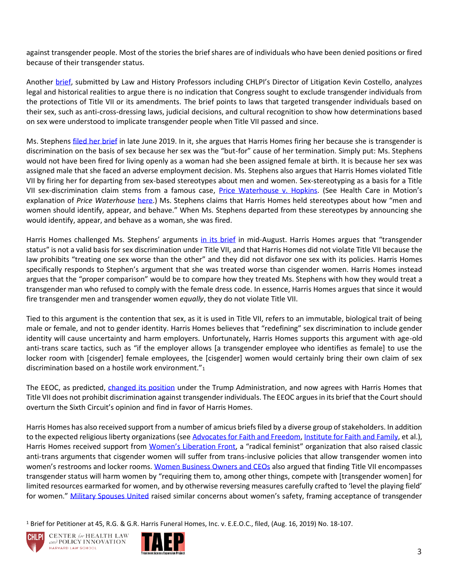against transgender people. Most of the stories the brief shares are of individuals who have been denied positions or fired because of their transgender status.

Another [brief,](https://www.supremecourt.gov/DocketPDF/18/18-107/107144/20190703161737460_18-107%20Law%20and%20History%20Professors%20Amicus%20Curiae.pdf) submitted by Law and History Professors including CHLPI's Director of Litigation Kevin Costello, analyzes legal and historical realities to argue there is no indication that Congress sought to exclude transgender individuals from the protections of Title VII or its amendments. The brief points to laws that targeted transgender individuals based on their sex, such as anti-cross-dressing laws, judicial decisions, and cultural recognition to show how determinations based on sex were understood to implicate transgender people when Title VII passed and since.

Ms. Stephens [filed her brief](https://www.supremecourt.gov/DocketPDF/18/18-107/104141/20190626105814174_No%2018-107%20RG%20and%20GR%20Harris%20Funeral%20Homes%20v%20EEOC%20and%20Aimee%20Stephens%20Brief%20for%20Respondent%20Aimee%20Stephens.pdf) in late June 2019. In it, she argues that Harris Homes firing her because she is transgender is discrimination on the basis of sex because her sex was the "but-for" cause of her termination. Simply put: Ms. Stephens would not have been fired for living openly as a woman had she been assigned female at birth. It is because her sex was assigned male that she faced an adverse employment decision. Ms. Stephens also argues that Harris Homes violated Title VII by firing her for departing from sex-based stereotypes about men and women. Sex-stereotyping as a basis for a Title VII sex-discrimination claim stems from a famous case, [Price Waterhouse v. Hopkins.](https://www.law.cornell.edu/supremecourt/text/490/228) (See Health Care in Motion's explanation of *Price Waterhouse* [here.](https://www.chlpi.org/wp-content/uploads/2013/12/HCIM_6_20_2019.pdf)) Ms. Stephens claims that Harris Homes held stereotypes about how "men and women should identify, appear, and behave." When Ms. Stephens departed from these stereotypes by announcing she would identify, appear, and behave as a woman, she was fired.

Harris Homes challenged Ms. Stephens' arguments [in its brief](https://www.supremecourt.gov/DocketPDF/18/18-107/112573/20190816105923793_18-107%20Brief%20for%20the%20Petitioner.pdf) in mid-August. Harris Homes argues that "transgender status" is not a valid basis for sex discrimination under Title VII, and that Harris Homes did not violate Title VII because the law prohibits "treating one sex worse than the other" and they did not disfavor one sex with its policies. Harris Homes specifically responds to Stephen's argument that she was treated worse than cisgender women. Harris Homes instead argues that the "proper comparison" would be to compare how they treated Ms. Stephens with how they would treat a transgender man who refused to comply with the female dress code. In essence, Harris Homes argues that since it would fire transgender men and transgender women *equally*, they do not violate Title VII.

Tied to this argument is the contention that sex, as it is used in Title VII, refers to an immutable, biological trait of being male or female, and not to gender identity. Harris Homes believes that "redefining" sex discrimination to include gender identity will cause uncertainty and harm employers. Unfortunately, Harris Homes supports this argument with age-old anti-trans scare tactics, such as "if the employer allows [a transgender employee who identifies as female] to use the locker room with [cisgender] female employees, the [cisgender] women would certainly bring their own claim of sex discrimination based on a hostile work environment."<sup>1</sup>

The EEOC, as predicted, [changed its position](https://www.supremecourt.gov/DocketPDF/18/18-107/112655/20190816163010995_18-107bsUnitedStates.pdf) under the Trump Administration, and now agrees with Harris Homes that Title VII does not prohibit discrimination against transgender individuals. The EEOC argues in its brief that the Court should overturn the Sixth Circuit's opinion and find in favor of Harris Homes.

Harris Homes has also received support from a number of amicus briefs filed by a diverse group of stakeholders. In addition to the expected religious liberty organizations (see [Advocates for Faith and Freedom,](https://www.supremecourt.gov/DocketPDF/18/18-107/113157/20190821162533165_Amicus%20Brief%20.PDF) [Institute for Faith and Family,](https://www.supremecourt.gov/DocketPDF/18/18-107/113559/20190826111051529_17-1618%20-1623%2018-107%20Amici%20BOM%20Faith%20and%20Family%20et%20al.pdf) et al.), Harris Homes received support from [Women's Liberation Front,](https://www.supremecourt.gov/DocketPDF/18/18-107/112909/20190820130044873_WoLF%20Amicus%20Harris%20v%20EEOC%20as%20filed.pdf) a "radical feminist" organization that also raised classic anti-trans arguments that cisgender women will suffer from trans-inclusive policies that allow transgender women into women's restrooms and locker rooms. [Women Business Owners and CEOs](https://www.supremecourt.gov/DocketPDF/18/18-107/113506/20190823170411667_18-107%20Amicus%20Brief.pdf) also argued that finding Title VII encompasses transgender status will harm women by "requiring them to, among other things, compete with [transgender women] for limited resources earmarked for women, and by otherwise reversing measures carefully crafted to 'level the playing field' for women." [Military Spouses United](https://www.supremecourt.gov/DocketPDF/18/18-107/113478/20190823155610611_18-107%20Amicus%20Brief%20of%20Military%20Spouses%20United.pdf) raised similar concerns about women's safety, framing acceptance of transgender

<sup>1</sup> Brief for Petitioner at 45, R.G. & G.R. Harris Funeral Homes, Inc. v. E.E.O.C., filed, (Aug. 16, 2019) No. 18-107.





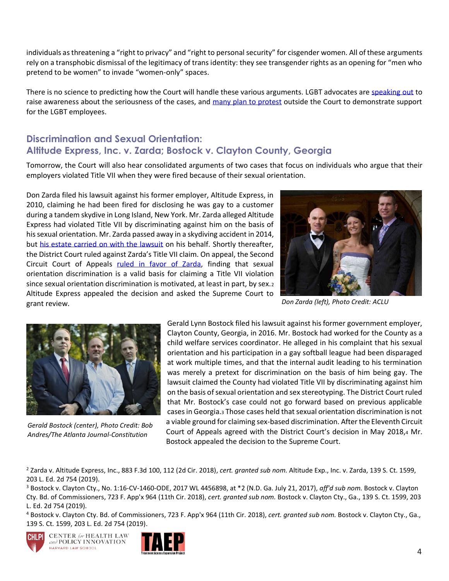individuals as threatening a "right to privacy" and "right to personal security" for cisgender women. All of these arguments rely on a transphobic dismissal of the legitimacy of trans identity: they see transgender rights as an opening for "men who pretend to be women" to invade "women-only" spaces.

There is no science to predicting how the Court will handle these various arguments. LGBT advocates are [speaking out](https://www.nbcnews.com/feature/nbc-out/emmys-laverne-cox-shines-spotlight-lgbtq-supreme-court-cases-n1057636) to raise awareness about the seriousness of the cases, and [many plan to protest](https://www.nydailynews.com/news/national/ny-equality-act-housing-works-supreme-court-trip-to-washington-dc-20190921-ter53crzsvhsvkaxouhof7bpym-story.html) outside the Court to demonstrate support for the LGBT employees.

#### **Discrimination and Sexual Orientation: Altitude Express, Inc. v. Zarda; Bostock v. Clayton County, Georgia**

Tomorrow, the Court will also hear consolidated arguments of two cases that focus on individuals who argue that their employers violated Title VII when they were fired because of their sexual orientation.

Don Zarda filed his lawsuit against his former employer, Altitude Express, in 2010, claiming he had been fired for disclosing he was gay to a customer during a tandem skydive in Long Island, New York. Mr. Zarda alleged Altitude Express had violated Title VII by discriminating against him on the basis of his sexual orientation. Mr. Zarda passed away in a skydiving accident in 2014, but [his estate carried on with the lawsuit](https://time.com/5617310/zarda-supreme-court-lgbtq/) on his behalf. Shortly thereafter, the District Court ruled against Zarda's Title VII claim. On appeal, the Second Circuit Court of Appeals [ruled in favor of Zarda,](https://www.glad.org/wp-content/uploads/2017/06/zarda-second-circuit-opinion-2-26-18.pdf) finding that sexual orientation discrimination is a valid basis for claiming a Title VII violation since sexual orientation discrimination is motivated, at least in part, by sex.<sup>2</sup> Altitude Express appealed the decision and asked the Supreme Court to grant review.



*Don Zarda (left), Photo Credit: ACLU*



*Gerald Bostock (center), Photo Credit: Bob Andres/The Atlanta Journal-Constitution* 

Gerald Lynn Bostock filed his lawsuit against his former government employer, Clayton County, Georgia, in 2016. Mr. Bostock had worked for the County as a child welfare services coordinator. He alleged in his complaint that his sexual orientation and his participation in a gay softball league had been disparaged at work multiple times, and that the internal audit leading to his termination was merely a pretext for discrimination on the basis of him being gay. The lawsuit claimed the County had violated Title VII by discriminating against him on the basis of sexual orientation and sex stereotyping. The District Court ruled that Mr. Bostock's case could not go forward based on previous applicable cases in Georgia.3 Those cases held that sexual orientation discrimination is not a viable ground for claiming sex-based discrimination. After the Eleventh Circuit Court of Appeals agreed with the District Court's decision in May 2018,<sup>4</sup> Mr. Bostock appealed the decision to the Supreme Court.

<sup>2</sup> Zarda v. Altitude Express, Inc., 883 F.3d 100, 112 (2d Cir. 2018), *cert. granted sub nom.* Altitude Exp., Inc. v. Zarda, 139 S. Ct. 1599, 203 L. Ed. 2d 754 (2019).

<sup>3</sup> Bostock v. Clayton Cty., No. 1:16-CV-1460-ODE, 2017 WL 4456898, at \*2 (N.D. Ga. July 21, 2017), *aff'd sub nom.* Bostock v. Clayton Cty. Bd. of Commissioners, 723 F. App'x 964 (11th Cir. 2018), *cert. granted sub nom.* Bostock v. Clayton Cty., Ga., 139 S. Ct. 1599, 203 L. Ed. 2d 754 (2019).

<sup>4</sup> Bostock v. Clayton Cty. Bd. of Commissioners, 723 F. App'x 964 (11th Cir. 2018), *cert. granted sub nom.* Bostock v. Clayton Cty., Ga., 139 S. Ct. 1599, 203 L. Ed. 2d 754 (2019).



**CENTER** for HEALTH LAW and POLICY INNOVATION HARVARD LAW SCHOOL

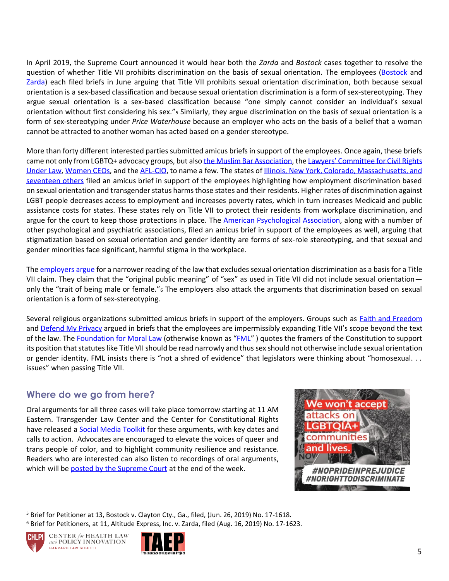In April 2019, the Supreme Court announced it would hear both the *Zarda* and *Bostock* cases together to resolve the question of whether Title VII prohibits discrimination on the basis of sexual orientation. The employees [\(Bostock](https://www.supremecourt.gov/DocketPDF/17/17-1618/104212/20190626161040839_38089%20pdf%20Sutherland%20I%20-%20Brief%20to%20File.pdf) and [Zarda\)](https://www.supremecourt.gov/DocketPDF/17/17-1618/104155/20190626114351461_17-1623bs.pdf) each filed briefs in June arguing that Title VII prohibits sexual orientation discrimination, both because sexual orientation is a sex-based classification and because sexual orientation discrimination is a form of sex-stereotyping. They argue sexual orientation is a sex-based classification because "one simply cannot consider an individual's sexual orientation without first considering his sex."<sup>5</sup> Similarly, they argue discrimination on the basis of sexual orientation is a form of sex-stereotyping under *Price Waterhouse* because an employer who acts on the basis of a belief that a woman cannot be attracted to another woman has acted based on a gender stereotype.

More than forty different interested parties submitted amicus briefs in support of the employees. Once again, these briefs came not only from LGBTQ+ advocacy groups, but also [the Muslim Bar Association,](https://www.supremecourt.gov/DocketPDF/17/17-1618/107073/20190703135640625_17-1618%2017-1623%2018-107%20VIDED%20Bostock%20v%20Clayton%20County%20Brief%20of%20Amici%20Curiae%20Muslim%20Bar%20Association%20of%20NY.pdf) the Lawyers' Committee for Civil Rights [Under Law,](https://www.supremecourt.gov/DocketPDF/17/17-1618/107051/20190703133435002_Lawyers%20Committee%20Brief.pdf) [Women CEOs,](https://www.supremecourt.gov/DocketPDF/17/17-1618/107158/20190703164823410_2019-07-03_Amicus%20Brief%20of%20Women%20CEOs%20and%20C-Suite%20Executives.pdf) and th[e AFL-CIO,](https://www.supremecourt.gov/DocketPDF/17/17-1618/106888/20190703095318691_Amicus%20Brief%20of%20American%20Federation%20of%20Labor%20and%20Congress%20of%20Industrial%20Organizations%20in%20Support%20of%20Employees.pdf) to name a few. The states of [Illinois, New York, Colorado, Massachusetts, and](https://www.supremecourt.gov/DocketPDF/17/17-1618/107181/20190703180425118_Bostock-Zarda-Harris%20Amicus%20Br%20for%20States%20of%20IL-NY-et%20al.pdf)  [seventeen others](https://www.supremecourt.gov/DocketPDF/17/17-1618/107181/20190703180425118_Bostock-Zarda-Harris%20Amicus%20Br%20for%20States%20of%20IL-NY-et%20al.pdf) filed an amicus brief in support of the employees highlighting how employment discrimination based on sexual orientation and transgender status harms those states and their residents. Higher rates of discrimination against LGBT people decreases access to employment and increases poverty rates, which in turn increases Medicaid and public assistance costs for states. These states rely on Title VII to protect their residents from workplace discrimination, and argue for the court to keep those protections in place. The [American Psychological Association,](https://www.supremecourt.gov/DocketPDF/17/17-1618/107154/20190703162955652_17-1618%2017-1623%2018-107%20tsac%20APA.pdf) along with a number of other psychological and psychiatric associations, filed an amicus brief in support of the employees as well, arguing that stigmatization based on sexual orientation and gender identity are forms of sex-role stereotyping, and that sexual and gender minorities face significant, harmful stigma in the workplace.

The [employers](https://www.supremecourt.gov/DocketPDF/17/17-1618/112668/20190816164820200_38344%20pdf%20Buechner%20Jr.pdf) [argue](https://www.supremecourt.gov/DocketPDF/17/17-1618/112667/20190816164240762_Brief%20for%20Petitioners%20Altitude%20Express%20Inc%20and%20Ray%20Maynard.pdf) for a narrower reading of the law that excludes sexual orientation discrimination as a basis for a Title VII claim. They claim that the "original public meaning" of "sex" as used in Title VII did not include sexual orientation only the "trait of being male or female."<sup>6</sup> The employers also attack the arguments that discrimination based on sexual orientation is a form of sex-stereotyping.

Several religious organizations submitted amicus briefs in support of the employers. Groups such as Eaith and Freedom and [Defend My Privacy](https://www.supremecourt.gov/DocketPDF/17/17-1618/113113/20190821151429736_17-1618%20-1623%2018-107%20Amici%20BOM%20Defend%20My%20Privacy.pdf) argued in briefs that the employees are impermissibly expanding Title VII's scope beyond the text of the law. The [Foundation for Moral Law](https://www.supremecourt.gov/DocketPDF/17/17-1618/112762/20190819124553187_Bostock%20and%20Zarda%20final%20brief%20merits%20pdf.pdf) (otherwise known as "[FML](http://morallaw.org/)") quotes the framers of the Constitution to support its position that statutes like Title VII should be read narrowly and thus sex should not otherwise include sexual orientation or gender identity. FML insists there is "not a shred of evidence" that legislators were thinking about "homosexual. . . issues" when passing Title VII.

#### **Where do we go from here?**

Oral arguments for all three cases will take place tomorrow starting at 11 AM Eastern. Transgender Law Center and the Center for Constitutional Rights have released a [Social Media Toolkit](https://docs.google.com/document/d/1z9ocSaLDjstBSwSh5lnMbexfpJMC_k_GwLEIBZgSQrU/edit?fbclid=IwAR1EwU3gyTYP2P8nJFwocub_0a9ZJQXUgG19cpP8_kTWzM1rE_WqRI3m#heading=h.1yzd9h7ovhen) for these arguments, with key dates and calls to action. Advocates are encouraged to elevate the voices of queer and trans people of color, and to highlight community resilience and resistance. Readers who are interested can also listen to recordings of oral arguments, which will b[e posted by the Supreme Court](https://www.supremecourt.gov/oral_arguments/argument_audio/2018) at the end of the week.



<sup>5</sup> Brief for Petitioner at 13, Bostock v. Clayton Cty., Ga., filed, (Jun. 26, 2019) No. 17-1618. <sup>6</sup> Brief for Petitioners, at 11, Altitude Express, Inc. v. Zarda, filed (Aug. 16, 2019) No. 17-1623.